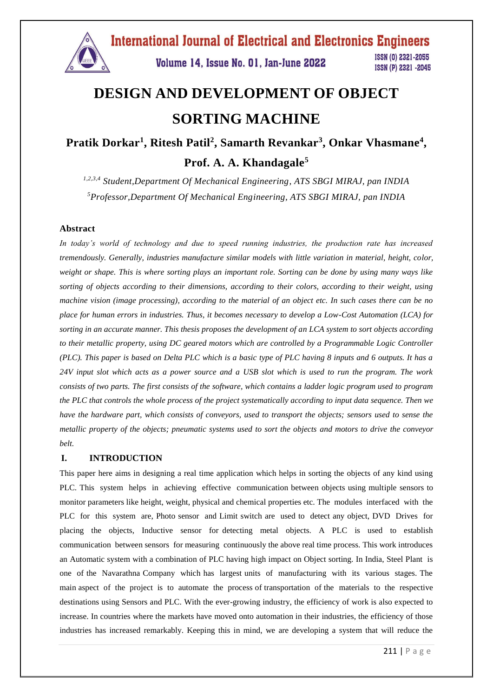

# **DESIGN AND DEVELOPMENT OF OBJECT SORTING MACHINE**

**Pratik Dorkar<sup>1</sup> , Ritesh Patil<sup>2</sup> , Samarth Revankar<sup>3</sup> , Onkar Vhasmane<sup>4</sup> , Prof. A. A. Khandagale<sup>5</sup>**

*1,2,3,4 Student,Department Of Mechanical Engineering, ATS SBGI MIRAJ, pan INDIA <sup>5</sup>Professor,Department Of Mechanical Engineering, ATS SBGI MIRAJ, pan INDIA*

#### **Abstract**

*In today's world of technology and due to speed running industries, the production rate has increased tremendously. Generally, industries manufacture similar models with little variation in material, height, color, weight or shape. This is where sorting plays an important role. Sorting can be done by using many ways like sorting of objects according to their dimensions, according to their colors, according to their weight, using machine vision (image processing), according to the material of an object etc. In such cases there can be no place for human errors in industries. Thus, it becomes necessary to develop a Low-Cost Automation (LCA) for sorting in an accurate manner. This thesis proposes the development of an LCA system to sort objects according to their metallic property, using DC geared motors which are controlled by a Programmable Logic Controller (PLC). This paper is based on Delta PLC which is a basic type of PLC having 8 inputs and 6 outputs. It has a 24V input slot which acts as a power source and a USB slot which is used to run the program. The work consists of two parts. The first consists of the software, which contains a ladder logic program used to program the PLC that controls the whole process of the project systematically according to input data sequence. Then we have the hardware part, which consists of conveyors, used to transport the objects; sensors used to sense the metallic property of the objects; pneumatic systems used to sort the objects and motors to drive the conveyor belt.*

#### **I. INTRODUCTION**

This paper here aims in designing a real time application which helps in sorting the objects of any kind using PLC. This system helps in achieving effective communication between objects using multiple sensors to monitor parameters like height, weight, physical and chemical properties etc. The modules interfaced with the PLC for this system are, Photo sensor and Limit switch are used to detect any object, DVD Drives for placing the objects, Inductive sensor for detecting metal objects. A PLC is used to establish communication between sensors for measuring continuously the above real time process. This work introduces an Automatic system with a combination of PLC having high impact on Object sorting. In India, Steel Plant is one of the Navarathna Company which has largest units of manufacturing with its various stages. The main aspect of the project is to automate the process of transportation of the materials to the respective destinations using Sensors and PLC. With the ever-growing industry, the efficiency of work is also expected to increase. In countries where the markets have moved onto automation in their industries, the efficiency of those industries has increased remarkably. Keeping this in mind, we are developing a system that will reduce the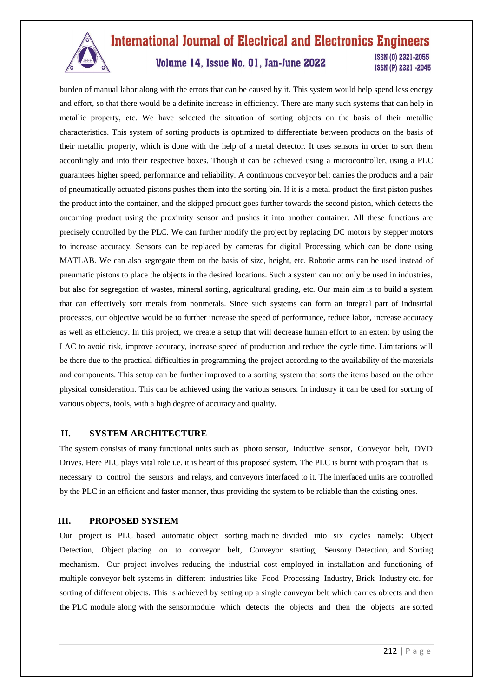

#### **International Journal of Electrical and Electronics Engineers** ISSN (0) 2321-2055 Volume 14, Issue No. 01, Jan-June 2022 ISSN (P) 2321 -2045

burden of manual labor along with the errors that can be caused by it. This system would help spend less energy and effort, so that there would be a definite increase in efficiency. There are many such systems that can help in metallic property, etc. We have selected the situation of sorting objects on the basis of their metallic characteristics. This system of sorting products is optimized to differentiate between products on the basis of their metallic property, which is done with the help of a metal detector. It uses sensors in order to sort them accordingly and into their respective boxes. Though it can be achieved using a microcontroller, using a PLC guarantees higher speed, performance and reliability. A continuous conveyor belt carries the products and a pair of pneumatically actuated pistons pushes them into the sorting bin. If it is a metal product the first piston pushes the product into the container, and the skipped product goes further towards the second piston, which detects the oncoming product using the proximity sensor and pushes it into another container. All these functions are precisely controlled by the PLC. We can further modify the project by replacing DC motors by stepper motors to increase accuracy. Sensors can be replaced by cameras for digital Processing which can be done using MATLAB. We can also segregate them on the basis of size, height, etc. Robotic arms can be used instead of pneumatic pistons to place the objects in the desired locations. Such a system can not only be used in industries, but also for segregation of wastes, mineral sorting, agricultural grading, etc. Our main aim is to build a system that can effectively sort metals from nonmetals. Since such systems can form an integral part of industrial processes, our objective would be to further increase the speed of performance, reduce labor, increase accuracy as well as efficiency. In this project, we create a setup that will decrease human effort to an extent by using the LAC to avoid risk, improve accuracy, increase speed of production and reduce the cycle time. Limitations will be there due to the practical difficulties in programming the project according to the availability of the materials and components. This setup can be further improved to a sorting system that sorts the items based on the other physical consideration. This can be achieved using the various sensors. In industry it can be used for sorting of various objects, tools, with a high degree of accuracy and quality.

#### **II. SYSTEM ARCHITECTURE**

The system consists of many functional units such as photo sensor, Inductive sensor, Conveyor belt, DVD Drives. Here PLC plays vital role i.e. it is heart of this proposed system. The PLC is burnt with program that is necessary to control the sensors and relays, and conveyors interfaced to it. The interfaced units are controlled by the PLC in an efficient and faster manner, thus providing the system to be reliable than the existing ones.

#### **III. PROPOSED SYSTEM**

Our project is PLC based automatic object sorting machine divided into six cycles namely: Object Detection, Object placing on to conveyor belt, Conveyor starting, Sensory Detection, and Sorting mechanism. Our project involves reducing the industrial cost employed in installation and functioning of multiple conveyor belt systems in different industries like Food Processing Industry, Brick Industry etc. for sorting of different objects. This is achieved by setting up a single conveyor belt which carries objects and then the PLC module along with the sensormodule which detects the objects and then the objects are sorted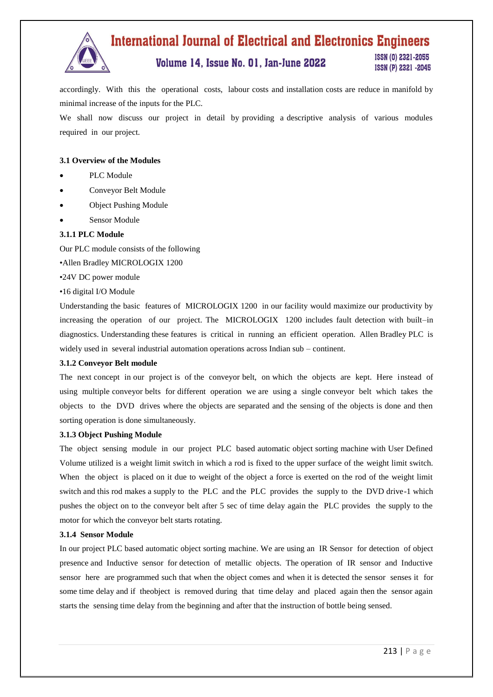

## **International Journal of Electrical and Electronics Engineers**

### Volume 14, Issue No. 01, Jan-June 2022

ISSN (0) 2321-2055 ISSN (P) 2321 -2045

accordingly. With this the operational costs, labour costs and installation costs are reduce in manifold by minimal increase of the inputs for the PLC.

We shall now discuss our project in detail by providing a descriptive analysis of various modules required in our project.

#### **3.1 Overview of the Modules**

- PLC Module
- Conveyor Belt Module
- Object Pushing Module
- Sensor Module

#### **3.1.1 PLC Module**

Our PLC module consists of the following

•Allen Bradley MICROLOGIX 1200

•24V DC power module

•16 digital I/O Module

Understanding the basic features of MICROLOGIX 1200 in our facility would maximize our productivity by increasing the operation of our project. The MICROLOGIX 1200 includes fault detection with built–in diagnostics. Understanding these features is critical in running an efficient operation. Allen Bradley PLC is widely used in several industrial automation operations across Indian sub – continent.

#### **3.1.2 Conveyor Belt module**

The next concept in our project is of the conveyor belt, on which the objects are kept. Here instead of using multiple conveyor belts for different operation we are using a single conveyor belt which takes the objects to the DVD drives where the objects are separated and the sensing of the objects is done and then sorting operation is done simultaneously.

#### **3.1.3 Object Pushing Module**

The object sensing module in our project PLC based automatic object sorting machine with User Defined Volume utilized is a weight limit switch in which a rod is fixed to the upper surface of the weight limit switch. When the object is placed on it due to weight of the object a force is exerted on the rod of the weight limit switch and this rod makes a supply to the PLC and the PLC provides the supply to the DVD drive-1 which pushes the object on to the conveyor belt after 5 sec of time delay again the PLC provides the supply to the motor for which the conveyor belt starts rotating.

#### **3.1.4 Sensor Module**

In our project PLC based automatic object sorting machine. We are using an IR Sensor for detection of object presence and Inductive sensor for detection of metallic objects. The operation of IR sensor and Inductive sensor here are programmed such that when the object comes and when it is detected the sensor senses it for some time delay and if theobject is removed during that time delay and placed again then the sensor again starts the sensing time delay from the beginning and after that the instruction of bottle being sensed.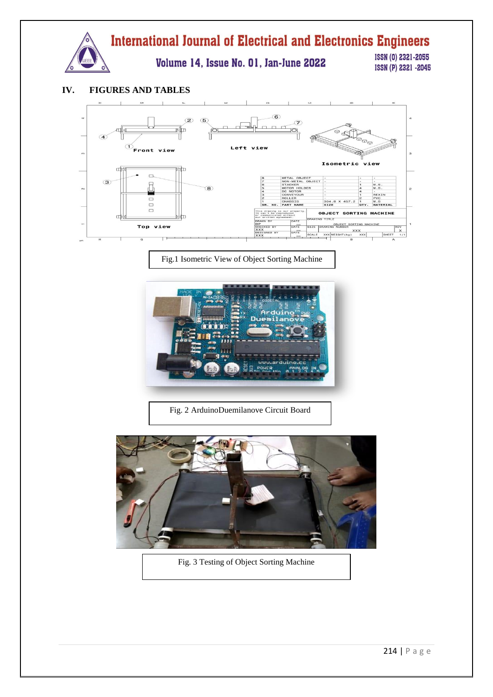

#### **IV. FIGURES AND TABLES**



Fig.1 Isometric View of Object Sorting Machine



Fig. 2 ArduinoDuemilanove Circuit Board



Fig. 3 Testing of Object Sorting Machine